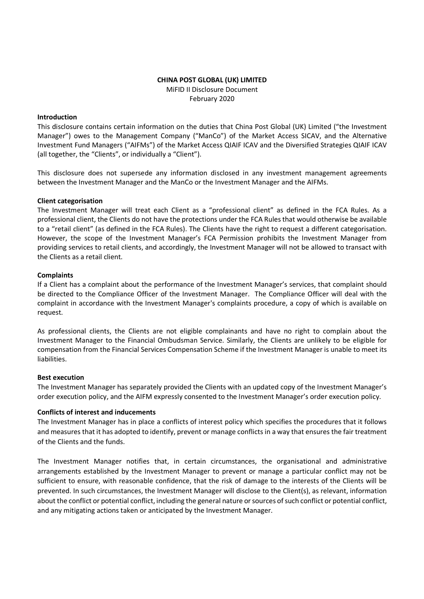## CHINA POST GLOBAL (UK) LIMITED MiFID II Disclosure Document February 2020

### Introduction

This disclosure contains certain information on the duties that China Post Global (UK) Limited ("the Investment Manager") owes to the Management Company ("ManCo") of the Market Access SICAV, and the Alternative Investment Fund Managers ("AIFMs") of the Market Access QIAIF ICAV and the Diversified Strategies QIAIF ICAV (all together, the "Clients", or individually a "Client").

This disclosure does not supersede any information disclosed in any investment management agreements between the Investment Manager and the ManCo or the Investment Manager and the AIFMs.

## Client categorisation

The Investment Manager will treat each Client as a "professional client" as defined in the FCA Rules. As a professional client, the Clients do not have the protections under the FCA Rules that would otherwise be available to a "retail client" (as defined in the FCA Rules). The Clients have the right to request a different categorisation. However, the scope of the Investment Manager's FCA Permission prohibits the Investment Manager from providing services to retail clients, and accordingly, the Investment Manager will not be allowed to transact with the Clients as a retail client.

## **Complaints**

If a Client has a complaint about the performance of the Investment Manager's services, that complaint should be directed to the Compliance Officer of the Investment Manager. The Compliance Officer will deal with the complaint in accordance with the Investment Manager's complaints procedure, a copy of which is available on request.

As professional clients, the Clients are not eligible complainants and have no right to complain about the Investment Manager to the Financial Ombudsman Service. Similarly, the Clients are unlikely to be eligible for compensation from the Financial Services Compensation Scheme if the Investment Manager is unable to meet its liabilities.

#### Best execution

The Investment Manager has separately provided the Clients with an updated copy of the Investment Manager's order execution policy, and the AIFM expressly consented to the Investment Manager's order execution policy.

# Conflicts of interest and inducements

The Investment Manager has in place a conflicts of interest policy which specifies the procedures that it follows and measures that it has adopted to identify, prevent or manage conflicts in a way that ensures the fair treatment of the Clients and the funds.

The Investment Manager notifies that, in certain circumstances, the organisational and administrative arrangements established by the Investment Manager to prevent or manage a particular conflict may not be sufficient to ensure, with reasonable confidence, that the risk of damage to the interests of the Clients will be prevented. In such circumstances, the Investment Manager will disclose to the Client(s), as relevant, information about the conflict or potential conflict, including the general nature or sources of such conflict or potential conflict, and any mitigating actions taken or anticipated by the Investment Manager.